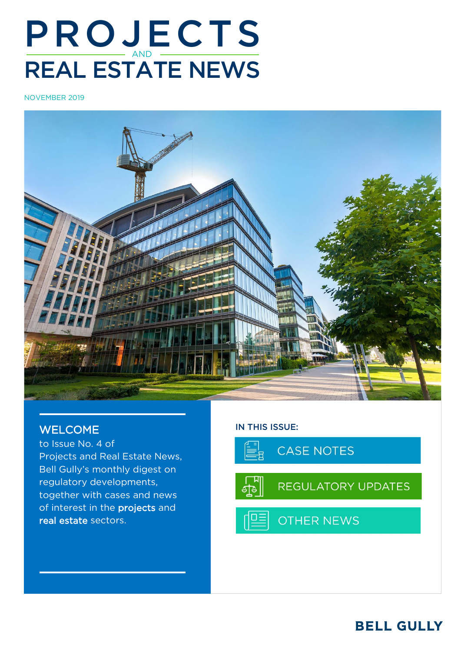# PROJECTS REAL ESTATE NEWS

NOVEMBER 2019



### WELCOME

to Issue No. 4 of Projects and Real Estate News, Bell Gully's monthly digest on regulatory developments, together with cases and news of interest in the projects and real estate sectors.

#### IN THIS ISSUE:

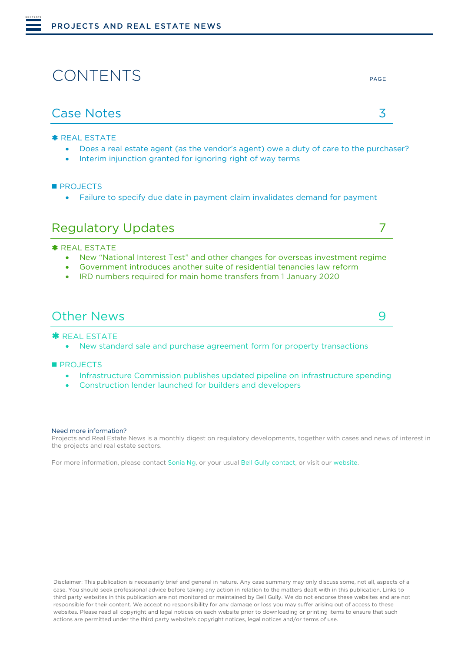# CONTENTS

<span id="page-1-0"></span>CONTENTS

**\* [REAL ESTATE](#page-2-1)** 

- [Does a real estate agent \(as the vendor's agent\) owe a duty of care to the purchaser?](#page-2-2)
- [Interim injunction granted for ignoring right of way terms](#page-3-0)

**[PROJECTS](#page-4-0)** 

• [Failure to specify due date in payment claim invalidates demand for payment](#page-4-1)

### [Regulatory Updates](#page-6-0) 7

**\* [REAL ESTATE](#page-6-1)** 

- New "National Interest Test" and other changes [for overseas investment regime](#page-6-2)
- [Government introduces another suite of residential tenancies law reform](#page-6-3)
- [IRD numbers required for main home transfers from 1 January 2020](#page-7-0)

#### [Other News](#page-8-0) 9

**\*** [REAL ESTATE](#page-8-1)

• [New standard sale and purchase agreement form for property transactions](#page-8-2)

**[PROJECTS](#page-8-3)** 

- [Infrastructure Commission publishes updated pipeline](#page-8-4) on infrastructure spending
- [Construction lender launched for builders and developers](#page-9-0)

#### Need more information?

Projects and Real Estate News is a monthly digest on regulatory developments, together with cases and news of interest in the projects and real estate sectors.

For more information, please contact [Sonia Ng,](mailto:Sonia.ng@bellgully.com) or your usua[l Bell Gully contact,](mailto:https://www.bellgully.com/our-people) or visit our [website.](http://www.bellgully.com/) 

Disclaimer: This publication is necessarily brief and general in nature. Any case summary may only discuss some, not all, aspects of a case. You should seek professional advice before taking any action in relation to the matters dealt with in this publication. Links to third party websites in this publication are not monitored or maintained by Bell Gully. We do not endorse these websites and are not responsible for their content. We accept no responsibility for any damage or loss you may suffer arising out of access to these websites. Please read all copyright and legal notices on each website prior to downloading or printing items to ensure that such actions are permitted under the third party website's copyright notices, legal notices and/or terms of use.

PAGE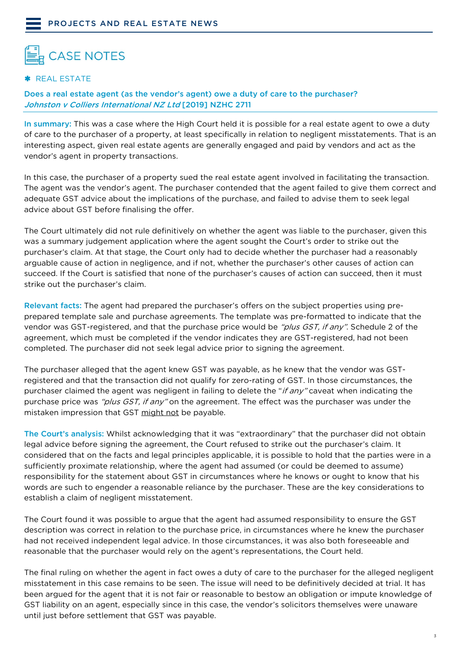<span id="page-2-1"></span><span id="page-2-0"></span>

#### \* REAL ESTATE

#### <span id="page-2-2"></span>Does a real estate agent (as the vendor's agent) owe a duty of care to the purchaser? Johnston v Colliers International NZ Ltd [2019] NZHC 2711

In summary: This was a case where the High Court held it is possible for a real estate agent to owe a duty of care to the purchaser of a property, at least specifically in relation to negligent misstatements. That is an interesting aspect, given real estate agents are generally engaged and paid by vendors and act as the vendor's agent in property transactions.

In this case, the purchaser of a property sued the real estate agent involved in facilitating the transaction. The agent was the vendor's agent. The purchaser contended that the agent failed to give them correct and adequate GST advice about the implications of the purchase, and failed to advise them to seek legal advice about GST before finalising the offer.

The Court ultimately did not rule definitively on whether the agent was liable to the purchaser, given this was a summary judgement application where the agent sought the Court's order to strike out the purchaser's claim. At that stage, the Court only had to decide whether the purchaser had a reasonably arguable cause of action in negligence, and if not, whether the purchaser's other causes of action can succeed. If the Court is satisfied that none of the purchaser's causes of action can succeed, then it must strike out the purchaser's claim.

Relevant facts: The agent had prepared the purchaser's offers on the subject properties using preprepared template sale and purchase agreements. The template was pre-formatted to indicate that the vendor was GST-registered, and that the purchase price would be "plus GST, if any". Schedule 2 of the agreement, which must be completed if the vendor indicates they are GST-registered, had not been completed. The purchaser did not seek legal advice prior to signing the agreement.

The purchaser alleged that the agent knew GST was payable, as he knew that the vendor was GSTregistered and that the transaction did not qualify for zero-rating of GST. In those circumstances, the purchaser claimed the agent was negligent in failing to delete the "*if any*" caveat when indicating the purchase price was "plus GST, if any" on the agreement. The effect was the purchaser was under the mistaken impression that GST might not be payable.

The Court's analysis: Whilst acknowledging that it was "extraordinary" that the purchaser did not obtain legal advice before signing the agreement, the Court refused to strike out the purchaser's claim. It considered that on the facts and legal principles applicable, it is possible to hold that the parties were in a sufficiently proximate relationship, where the agent had assumed (or could be deemed to assume) responsibility for the statement about GST in circumstances where he knows or ought to know that his words are such to engender a reasonable reliance by the purchaser. These are the key considerations to establish a claim of negligent misstatement.

The Court found it was possible to argue that the agent had assumed responsibility to ensure the GST description was correct in relation to the purchase price, in circumstances where he knew the purchaser had not received independent legal advice. In those circumstances, it was also both foreseeable and reasonable that the purchaser would rely on the agent's representations, the Court held.

The final ruling on whether the agent in fact owes a duty of care to the purchaser for the alleged negligent misstatement in this case remains to be seen. The issue will need to be definitively decided at trial. It has been argued for the agent that it is not fair or reasonable to bestow an obligation or impute knowledge of GST liability on an agent, especially since in this case, the vendor's solicitors themselves were unaware until just before settlement that GST was payable.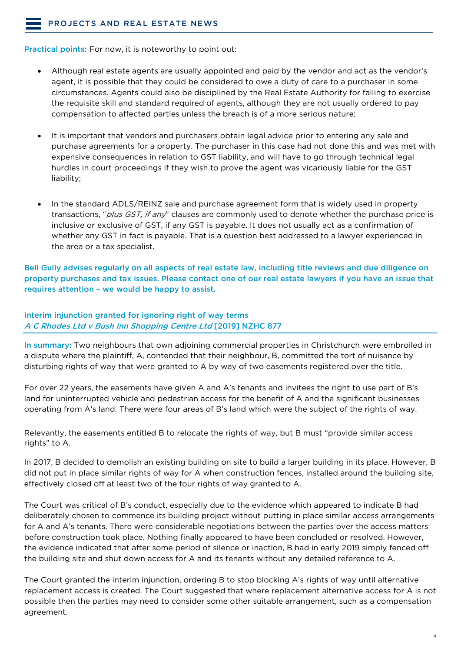#### [PROJECTS AND REAL ESTATE NEWS](#page-1-0)

Practical points: For now, it is noteworthy to point out:

- Although real estate agents are usually appointed and paid by the vendor and act as the vendor's agent, it is possible that they could be considered to owe a duty of care to a purchaser in some circumstances. Agents could also be disciplined by the Real Estate Authority for failing to exercise the requisite skill and standard required of agents, although they are not usually ordered to pay compensation to affected parties unless the breach is of a more serious nature;
- It is important that vendors and purchasers obtain legal advice prior to entering any sale and purchase agreements for a property. The purchaser in this case had not done this and was met with expensive consequences in relation to GST liability, and will have to go through technical legal hurdles in court proceedings if they wish to prove the agent was vicariously liable for the GST liability;
- In the standard ADLS/REINZ sale and purchase agreement form that is widely used in property transactions, "*plus GST, if any*" clauses are commonly used to denote whether the purchase price is inclusive or exclusive of GST, if any GST is payable. It does not usually act as a confirmation of whether any GST in fact is payable. That is a question best addressed to a lawyer experienced in the area or a tax specialist.

Bell Gully advises regularly on all aspects of real estate law, including title reviews and due diligence on property purchases and tax issues. Please contact one of our real estate lawyers if you have an issue that requires attention – we would be happy to assist.

#### <span id="page-3-0"></span>Interim injunction granted for ignoring right of way terms A C Rhodes Ltd v Bush Inn Shopping Centre Ltd [2019] NZHC 877

In summary: Two neighbours that own adjoining commercial properties in Christchurch were embroiled in a dispute where the plaintiff, A, contended that their neighbour, B, committed the tort of nuisance by disturbing rights of way that were granted to A by way of two easements registered over the title.

For over 22 years, the easements have given A and A's tenants and invitees the right to use part of B's land for uninterrupted vehicle and pedestrian access for the benefit of A and the significant businesses operating from A's land. There were four areas of B's land which were the subject of the rights of way.

Relevantly, the easements entitled B to relocate the rights of way, but B must "provide similar access rights" to A.

In 2017, B decided to demolish an existing building on site to build a larger building in its place. However, B did not put in place similar rights of way for A when construction fences, installed around the building site, effectively closed off at least two of the four rights of way granted to A.

The Court was critical of B's conduct, especially due to the evidence which appeared to indicate B had deliberately chosen to commence its building project without putting in place similar access arrangements for A and A's tenants. There were considerable negotiations between the parties over the access matters before construction took place. Nothing finally appeared to have been concluded or resolved. However, the evidence indicated that after some period of silence or inaction, B had in early 2019 simply fenced off the building site and shut down access for A and its tenants without any detailed reference to A.

The Court granted the interim injunction, ordering B to stop blocking A's rights of way until alternative replacement access is created. The Court suggested that where replacement alternative access for A is not possible then the parties may need to consider some other suitable arrangement, such as a compensation agreement.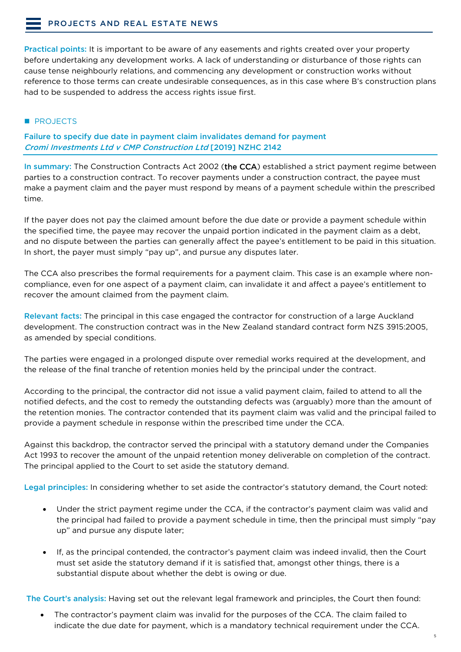Practical points: It is important to be aware of any easements and rights created over your property before undertaking any development works. A lack of understanding or disturbance of those rights can cause tense neighbourly relations, and commencing any development or construction works without reference to those terms can create undesirable consequences, as in this case where B's construction plans had to be suspended to address the access rights issue first.

#### <span id="page-4-0"></span>**PROJECTS**

<span id="page-4-1"></span>Failure to specify due date in payment claim invalidates demand for payment Cromi Investments Ltd v CMP Construction Ltd [2019] NZHC 2142

In summary: The Construction Contracts Act 2002 (the CCA) established a strict payment regime between parties to a construction contract. To recover payments under a construction contract, the payee must make a payment claim and the payer must respond by means of a payment schedule within the prescribed time.

If the payer does not pay the claimed amount before the due date or provide a payment schedule within the specified time, the payee may recover the unpaid portion indicated in the payment claim as a debt, and no dispute between the parties can generally affect the payee's entitlement to be paid in this situation. In short, the payer must simply "pay up", and pursue any disputes later.

The CCA also prescribes the formal requirements for a payment claim. This case is an example where noncompliance, even for one aspect of a payment claim, can invalidate it and affect a payee's entitlement to recover the amount claimed from the payment claim.

Relevant facts: The principal in this case engaged the contractor for construction of a large Auckland development. The construction contract was in the New Zealand standard contract form NZS 3915:2005, as amended by special conditions.

The parties were engaged in a prolonged dispute over remedial works required at the development, and the release of the final tranche of retention monies held by the principal under the contract.

According to the principal, the contractor did not issue a valid payment claim, failed to attend to all the notified defects, and the cost to remedy the outstanding defects was (arguably) more than the amount of the retention monies. The contractor contended that its payment claim was valid and the principal failed to provide a payment schedule in response within the prescribed time under the CCA.

Against this backdrop, the contractor served the principal with a statutory demand under the Companies Act 1993 to recover the amount of the unpaid retention money deliverable on completion of the contract. The principal applied to the Court to set aside the statutory demand.

Legal principles: In considering whether to set aside the contractor's statutory demand, the Court noted:

- Under the strict payment regime under the CCA, if the contractor's payment claim was valid and the principal had failed to provide a payment schedule in time, then the principal must simply "pay up" and pursue any dispute later;
- If, as the principal contended, the contractor's payment claim was indeed invalid, then the Court must set aside the statutory demand if it is satisfied that, amongst other things, there is a substantial dispute about whether the debt is owing or due.

The Court's analysis: Having set out the relevant legal framework and principles, the Court then found:

The contractor's payment claim was invalid for the purposes of the CCA. The claim failed to indicate the due date for payment, which is a mandatory technical requirement under the CCA.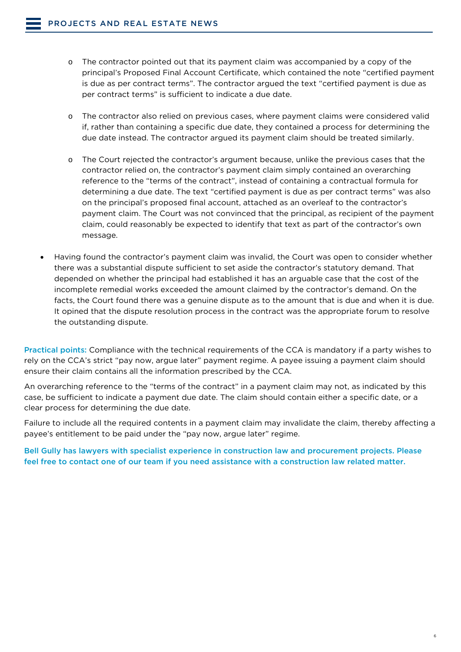- o The contractor pointed out that its payment claim was accompanied by a copy of the principal's Proposed Final Account Certificate, which contained the note "certified payment is due as per contract terms". The contractor argued the text "certified payment is due as per contract terms" is sufficient to indicate a due date.
- o The contractor also relied on previous cases, where payment claims were considered valid if, rather than containing a specific due date, they contained a process for determining the due date instead. The contractor argued its payment claim should be treated similarly.
- o The Court rejected the contractor's argument because, unlike the previous cases that the contractor relied on, the contractor's payment claim simply contained an overarching reference to the "terms of the contract", instead of containing a contractual formula for determining a due date. The text "certified payment is due as per contract terms" was also on the principal's proposed final account, attached as an overleaf to the contractor's payment claim. The Court was not convinced that the principal, as recipient of the payment claim, could reasonably be expected to identify that text as part of the contractor's own message.
- Having found the contractor's payment claim was invalid, the Court was open to consider whether there was a substantial dispute sufficient to set aside the contractor's statutory demand. That depended on whether the principal had established it has an arguable case that the cost of the incomplete remedial works exceeded the amount claimed by the contractor's demand. On the facts, the Court found there was a genuine dispute as to the amount that is due and when it is due. It opined that the dispute resolution process in the contract was the appropriate forum to resolve the outstanding dispute.

Practical points: Compliance with the technical requirements of the CCA is mandatory if a party wishes to rely on the CCA's strict "pay now, argue later" payment regime. A payee issuing a payment claim should ensure their claim contains all the information prescribed by the CCA.

An overarching reference to the "terms of the contract" in a payment claim may not, as indicated by this case, be sufficient to indicate a payment due date. The claim should contain either a specific date, or a clear process for determining the due date.

Failure to include all the required contents in a payment claim may invalidate the claim, thereby affecting a payee's entitlement to be paid under the "pay now, argue later" regime.

Bell Gully has lawyers with specialist experience in construction law and procurement projects. Please feel free to contact one of our team if you need assistance with a construction law related matter.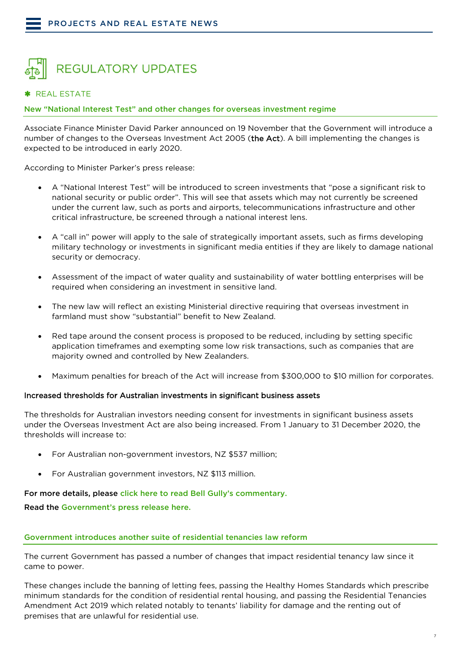<span id="page-6-0"></span>

#### <span id="page-6-1"></span>\* REAL ESTATE

<span id="page-6-2"></span>New "National Interest Test" and other changes for overseas investment regime

Associate Finance Minister David Parker announced on 19 November that the Government will introduce a number of changes to the Overseas Investment Act 2005 (the Act). A bill implementing the changes is expected to be introduced in early 2020.

According to Minister Parker's press release:

- A "National Interest Test" will be introduced to screen investments that "pose a significant risk to national security or public order". This will see that assets which may not currently be screened under the current law, such as ports and airports, telecommunications infrastructure and other critical infrastructure, be screened through a national interest lens.
- A "call in" power will apply to the sale of strategically important assets, such as firms developing military technology or investments in significant media entities if they are likely to damage national security or democracy.
- Assessment of the impact of water quality and sustainability of water bottling enterprises will be required when considering an investment in sensitive land.
- The new law will reflect an existing Ministerial directive requiring that overseas investment in farmland must show "substantial" benefit to New Zealand.
- Red tape around the consent process is proposed to be reduced, including by setting specific application timeframes and exempting some low risk transactions, such as companies that are majority owned and controlled by New Zealanders.
- Maximum penalties for breach of the Act will increase from \$300,000 to \$10 million for corporates.

#### Increased thresholds for Australian investments in significant business assets

The thresholds for Australian investors needing consent for investments in significant business assets under the Overseas Investment Act are also being increased. From 1 January to 31 December 2020, the thresholds will increase to:

- For Australian non-government investors, NZ \$537 million;
- For Australian government investors, NZ \$113 million.

#### For more details, please [click here to read Bell Gully's commentary.](https://www.bellgully.com/publications/government-to-introduce-a-national-interest-test-to-the-overseas-investment-regime)

Read the [Government's press release](https://www.beehive.govt.nz/release/national-interest-test-added-overseas-investment-rules) here.

#### <span id="page-6-3"></span>Government introduces another suite of residential tenancies law reform

The current Government has passed a number of changes that impact residential tenancy law since it came to power.

These changes include the banning of letting fees, passing the Healthy Homes Standards which prescribe minimum standards for the condition of residential rental housing, and passing the Residential Tenancies Amendment Act 2019 which related notably to tenants' liability for damage and the renting out of premises that are unlawful for residential use.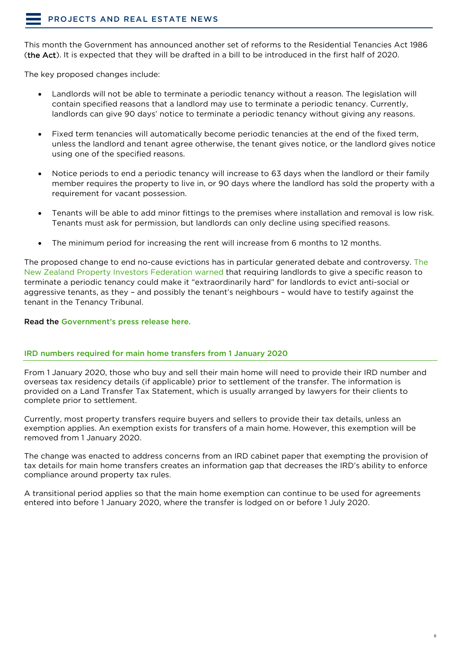This month the Government has announced another set of reforms to the Residential Tenancies Act 1986 (the Act). It is expected that they will be drafted in a bill to be introduced in the first half of 2020.

The key proposed changes include:

- Landlords will not be able to terminate a periodic tenancy without a reason. The legislation will contain specified reasons that a landlord may use to terminate a periodic tenancy. Currently, landlords can give 90 days' notice to terminate a periodic tenancy without giving any reasons.
- Fixed term tenancies will automatically become periodic tenancies at the end of the fixed term, unless the landlord and tenant agree otherwise, the tenant gives notice, or the landlord gives notice using one of the specified reasons.
- Notice periods to end a periodic tenancy will increase to 63 days when the landlord or their family member requires the property to live in, or 90 days where the landlord has sold the property with a requirement for vacant possession.
- Tenants will be able to add minor fittings to the premises where installation and removal is low risk. Tenants must ask for permission, but landlords can only decline using specified reasons.
- The minimum period for increasing the rent will increase from 6 months to 12 months.

The proposed change to end no-cause evictions has in particular generated debate and controversy. [The](https://www.rnz.co.nz/news/national/403503/rental-law-changes-will-hamper-eviction-of-bad-tenants-landlords)  [New Zealand Property Investors Federation warned](https://www.rnz.co.nz/news/national/403503/rental-law-changes-will-hamper-eviction-of-bad-tenants-landlords) that requiring landlords to give a specific reason to terminate a periodic tenancy could make it "extraordinarily hard" for landlords to evict anti-social or aggressive tenants, as they – and possibly the tenant's neighbours – would have to testify against the tenant in the Tenancy Tribunal.

Read the [Government's press release here.](https://www.beehive.govt.nz/release/fairer-rules-tenants-and-landlords)

#### <span id="page-7-0"></span>IRD numbers required for main home transfers from 1 January 2020

From 1 January 2020, those who buy and sell their main home will need to provide their IRD number and overseas tax residency details (if applicable) prior to settlement of the transfer. The information is provided on a Land Transfer Tax Statement, which is usually arranged by lawyers for their clients to complete prior to settlement.

Currently, most property transfers require buyers and sellers to provide their tax details, unless an exemption applies. An exemption exists for transfers of a main home. However, this exemption will be removed from 1 January 2020.

The change was enacted to address concerns from an IRD cabinet paper that exempting the provision of tax details for main home transfers creates an information gap that decreases the IRD's ability to enforce compliance around property tax rules.

A transitional period applies so that the main home exemption can continue to be used for agreements entered into before 1 January 2020, where the transfer is lodged on or before 1 July 2020.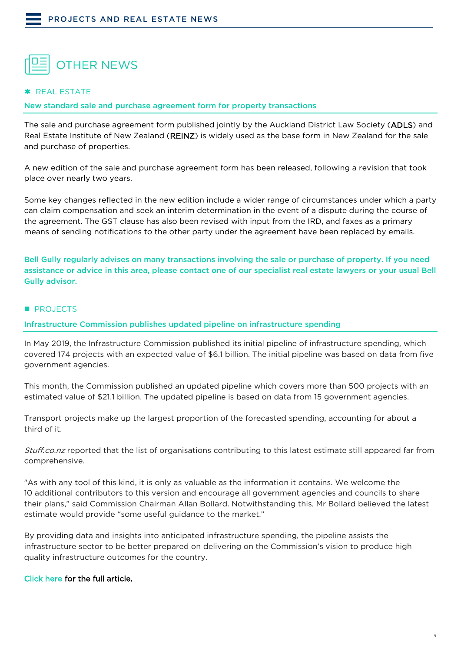<span id="page-8-0"></span>

#### <span id="page-8-1"></span>\* REAL ESTATE

<span id="page-8-2"></span>New standard sale and purchase agreement form for property transactions

The sale and purchase agreement form published jointly by the Auckland District Law Society (ADLS) and Real Estate Institute of New Zealand (REINZ) is widely used as the base form in New Zealand for the sale and purchase of properties.

A new edition of the sale and purchase agreement form has been released, following a revision that took place over nearly two years.

Some key changes reflected in the new edition include a wider range of circumstances under which a party can claim compensation and seek an interim determination in the event of a dispute during the course of the agreement. The GST clause has also been revised with input from the IRD, and faxes as a primary means of sending notifications to the other party under the agreement have been replaced by emails.

Bell Gully regularly advises on many transactions involving the sale or purchase of property. If you need assistance or advice in this area, please contact one of our specialist real estate lawyers or your usual Bell Gully advisor.

#### <span id="page-8-3"></span>**PROJECTS**

<span id="page-8-4"></span>Infrastructure Commission publishes updated pipeline on infrastructure spending

In May 2019, the Infrastructure Commission published its initial pipeline of infrastructure spending, which covered 174 projects with an expected value of \$6.1 billion. The initial pipeline was based on data from five government agencies.

This month, the Commission published an updated pipeline which covers more than 500 projects with an estimated value of \$21.1 billion. The updated pipeline is based on data from 15 government agencies.

Transport projects make up the largest proportion of the forecasted spending, accounting for about a third of it.

Stuff.co.nz reported that the list of organisations contributing to this latest estimate still appeared far from comprehensive.

"As with any tool of this kind, it is only as valuable as the information it contains. We welcome the 10 additional contributors to this version and encourage all government agencies and councils to share their plans," said Commission Chairman Allan Bollard. Notwithstanding this, Mr Bollard believed the latest estimate would provide "some useful guidance to the market."

By providing data and insights into anticipated infrastructure spending, the pipeline assists the infrastructure sector to be better prepared on delivering on the Commission's vision to produce high quality infrastructure outcomes for the country.

#### [Click here for the full article.](https://www.stuff.co.nz/business/117342735/infrastructure-commission-tots-up-spending-plans-worth-21b)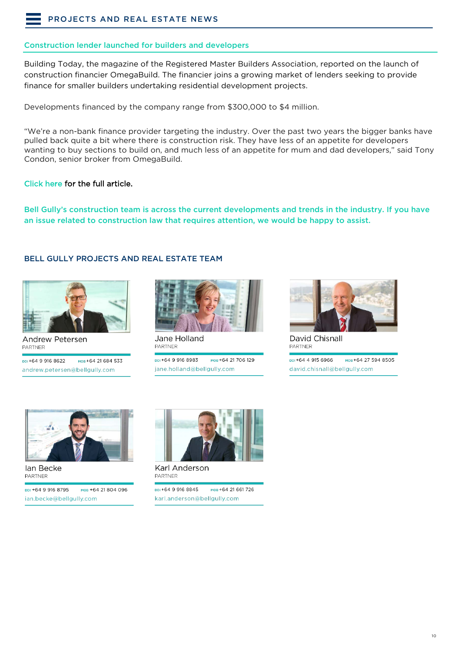#### <span id="page-9-0"></span>Construction lender launched for builders and developers

Building Today, the magazine of the Registered Master Builders Association, reported on the launch of construction financier OmegaBuild. The financier joins a growing market of lenders seeking to provide finance for smaller builders undertaking residential development projects.

Developments financed by the company range from \$300,000 to \$4 million.

"We're a non-bank finance provider targeting the industry. Over the past two years the bigger banks have pulled back quite a bit where there is construction risk. They have less of an appetite for developers wanting to buy sections to build on, and much less of an appetite for mum and dad developers," said Tony Condon, senior broker from OmegaBuild.

#### [Click here for the full article.](https://www.buildingtoday.co.nz/2019/10/29/construction-lender-launched-for-builders-and-developers/)

Bell Gully's construction team is across the current developments and trends in the industry. If you have an issue related to construction law that requires attention, we would be happy to assist.

#### BELL GULLY PROJECTS AND REAL ESTATE TEAM



Andrew Petersen **PARTNED** DDI +64 9 916 8622

мов+64 21 684 533 andrew.petersen@bellgully.com



Jane Holland **PARTNER** 

ppi+64 9 916 8983 мов+64 21 706 129 jane.holland@bellgully.com



David Chisnall PARTNER

ppi +64 4 915 6966 мов+64 27 594 8505 david.chisnall@bellgully.com



lan Becke **PARTNER** 

ppi +64 9 916 8795 мов +64 21 804 096 ian.becke@bellgully.com



Karl Anderson **PARTNER** 

DDI+64 9 916 8845 мов+64 21 661 726 karl.anderson@bellgully.com